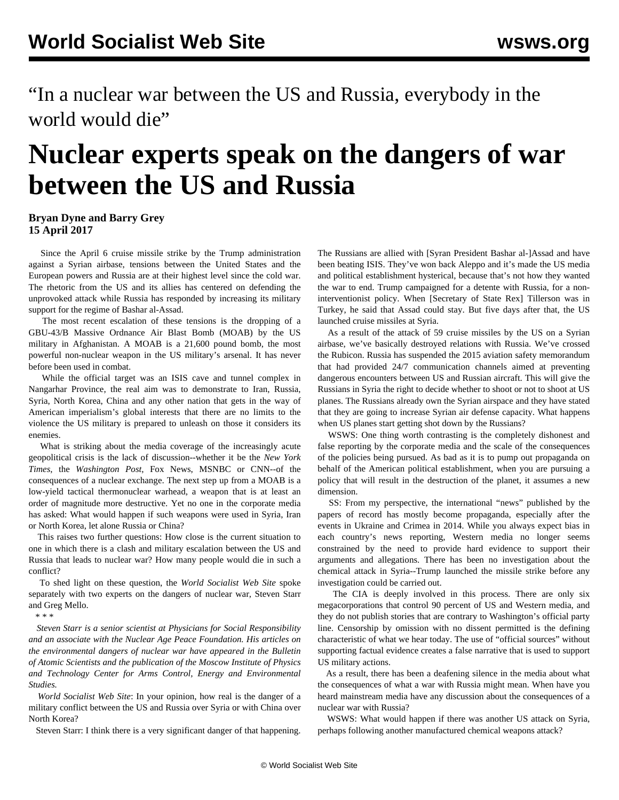"In a nuclear war between the US and Russia, everybody in the world would die"

## **Nuclear experts speak on the dangers of war between the US and Russia**

## **Bryan Dyne and Barry Grey 15 April 2017**

 Since the April 6 cruise missile strike by the Trump administration against a Syrian airbase, tensions between the United States and the European powers and Russia are at their highest level since the cold war. The rhetoric from the US and its allies has centered on defending the unprovoked attack while Russia has responded by increasing its military support for the regime of Bashar al-Assad.

 The most recent escalation of these tensions is the dropping of a GBU-43/B Massive Ordnance Air Blast Bomb (MOAB) by the US military in Afghanistan. A MOAB is a 21,600 pound bomb, the most powerful non-nuclear weapon in the US military's arsenal. It has never before been used in combat.

 While the official target was an ISIS cave and tunnel complex in Nangarhar Province, the real aim was to demonstrate to Iran, Russia, Syria, North Korea, China and any other nation that gets in the way of American imperialism's global interests that there are no limits to the violence the US military is prepared to unleash on those it considers its enemies.

 What is striking about the media coverage of the increasingly acute geopolitical crisis is the lack of discussion--whether it be the *New York Times*, the *Washington Post*, Fox News, MSNBC or CNN--of the consequences of a nuclear exchange. The next step up from a MOAB is a low-yield tactical thermonuclear warhead, a weapon that is at least an order of magnitude more destructive. Yet no one in the corporate media has asked: What would happen if such weapons were used in Syria, Iran or North Korea, let alone Russia or China?

 This raises two further questions: How close is the current situation to one in which there is a clash and military escalation between the US and Russia that leads to nuclear war? How many people would die in such a conflict?

 To shed light on these question, the *World Socialist Web Site* spoke separately with two experts on the dangers of nuclear war, Steven Starr and Greg Mello.

\* \* \*

 *Steven Starr is a senior scientist at Physicians for Social Responsibility and an associate with the Nuclear Age Peace Foundation. His articles on the environmental dangers of nuclear war have appeared in the Bulletin of Atomic Scientists and the publication of the Moscow Institute of Physics and Technology Center for Arms Control, Energy and Environmental Studies.*

 *World Socialist Web Site*: In your opinion, how real is the danger of a military conflict between the US and Russia over Syria or with China over North Korea?

Steven Starr: I think there is a very significant danger of that happening.

The Russians are allied with [Syran President Bashar al-]Assad and have been beating ISIS. They've won back Aleppo and it's made the US media and political establishment hysterical, because that's not how they wanted the war to end. Trump campaigned for a detente with Russia, for a noninterventionist policy. When [Secretary of State Rex] Tillerson was in Turkey, he said that Assad could stay. But five days after that, the US launched cruise missiles at Syria.

 As a result of the attack of 59 cruise missiles by the US on a Syrian airbase, we've basically destroyed relations with Russia. We've crossed the Rubicon. Russia has suspended the 2015 aviation safety memorandum that had provided 24/7 communication channels aimed at preventing dangerous encounters between US and Russian aircraft. This will give the Russians in Syria the right to decide whether to shoot or not to shoot at US planes. The Russians already own the Syrian airspace and they have stated that they are going to increase Syrian air defense capacity. What happens when US planes start getting shot down by the Russians?

 WSWS: One thing worth contrasting is the completely dishonest and false reporting by the corporate media and the scale of the consequences of the policies being pursued. As bad as it is to pump out propaganda on behalf of the American political establishment, when you are pursuing a policy that will result in the destruction of the planet, it assumes a new dimension.

 SS: From my perspective, the international "news" published by the papers of record has mostly become propaganda, especially after the events in Ukraine and Crimea in 2014. While you always expect bias in each country's news reporting, Western media no longer seems constrained by the need to provide hard evidence to support their arguments and allegations. There has been no investigation about the chemical attack in Syria--Trump launched the missile strike before any investigation could be carried out.

 The CIA is deeply involved in this process. There are only six megacorporations that control 90 percent of US and Western media, and they do not publish stories that are contrary to Washington's official party line. Censorship by omission with no dissent permitted is the defining characteristic of what we hear today. The use of "official sources" without supporting factual evidence creates a false narrative that is used to support US military actions.

 As a result, there has been a deafening silence in the media about what the consequences of what a war with Russia might mean. When have you heard mainstream media have any discussion about the consequences of a nuclear war with Russia?

 WSWS: What would happen if there was another US attack on Syria, perhaps following another manufactured chemical weapons attack?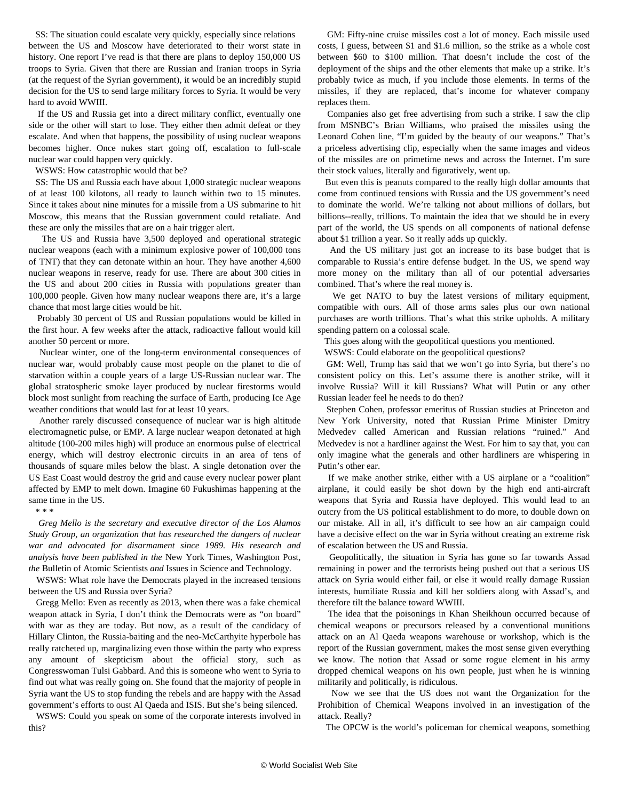SS: The situation could escalate very quickly, especially since relations between the US and Moscow have deteriorated to their worst state in history. One report I've read is that there are plans to deploy 150,000 US troops to Syria. Given that there are Russian and Iranian troops in Syria (at the request of the Syrian government), it would be an incredibly stupid decision for the US to send large military forces to Syria. It would be very hard to avoid WWIII.

 If the US and Russia get into a direct military conflict, eventually one side or the other will start to lose. They either then admit defeat or they escalate. And when that happens, the possibility of using nuclear weapons becomes higher. Once nukes start going off, escalation to full-scale nuclear war could happen very quickly.

WSWS: How catastrophic would that be?

 SS: The US and Russia each have about 1,000 strategic nuclear weapons of at least 100 kilotons, all ready to launch within two to 15 minutes. Since it takes about nine minutes for a missile from a US submarine to hit Moscow, this means that the Russian government could retaliate. And these are only the missiles that are on a hair trigger alert.

 The US and Russia have 3,500 deployed and operational strategic nuclear weapons (each with a minimum explosive power of 100,000 tons of TNT) that they can detonate within an hour. They have another 4,600 nuclear weapons in reserve, ready for use. There are about 300 cities in the US and about 200 cities in Russia with populations greater than 100,000 people. Given how many nuclear weapons there are, it's a large chance that most large cities would be hit.

 Probably 30 percent of US and Russian populations would be killed in the first hour. A few weeks after the attack, radioactive fallout would kill another 50 percent or more.

 Nuclear winter, one of the long-term environmental consequences of nuclear war, would probably cause most people on the planet to die of starvation within a couple years of a large US-Russian nuclear war. The global stratospheric smoke layer produced by nuclear firestorms would block most sunlight from reaching the surface of Earth, producing Ice Age weather conditions that would last for at least 10 years.

 Another rarely discussed consequence of nuclear war is high altitude electromagnetic pulse, or EMP. A large nuclear weapon detonated at high altitude (100-200 miles high) will produce an enormous pulse of electrical energy, which will destroy electronic circuits in an area of tens of thousands of square miles below the blast. A single detonation over the US East Coast would destroy the grid and cause every nuclear power plant affected by EMP to melt down. Imagine 60 Fukushimas happening at the same time in the US.

\* \* \*

 *Greg Mello is the secretary and executive director of the Los Alamos Study Group, an organization that has researched the dangers of nuclear war and advocated for disarmament since 1989. His research and analysis have been published in the* New York Times*,* Washington Post*, the* Bulletin of Atomic Scientists *and* Issues in Science and Technology*.*

 WSWS: What role have the Democrats played in the increased tensions between the US and Russia over Syria?

 Gregg Mello: Even as recently as 2013, when there was a fake chemical weapon attack in Syria, I don't think the Democrats were as "on board" with war as they are today. But now, as a result of the candidacy of Hillary Clinton, the Russia-baiting and the neo-McCarthyite hyperbole has really ratcheted up, marginalizing even those within the party who express any amount of skepticism about the official story, such as Congresswoman Tulsi Gabbard. And this is someone who went to Syria to find out what was really going on. She found that the majority of people in Syria want the US to stop funding the rebels and are happy with the Assad government's efforts to oust Al Qaeda and ISIS. But she's being silenced.

 WSWS: Could you speak on some of the corporate interests involved in this?

 GM: Fifty-nine cruise missiles cost a lot of money. Each missile used costs, I guess, between \$1 and \$1.6 million, so the strike as a whole cost between \$60 to \$100 million. That doesn't include the cost of the deployment of the ships and the other elements that make up a strike. It's probably twice as much, if you include those elements. In terms of the missiles, if they are replaced, that's income for whatever company replaces them.

 Companies also get free advertising from such a strike. I saw the clip from MSNBC's Brian Williams, who praised the missiles using the Leonard Cohen line, "I'm guided by the beauty of our weapons." That's a priceless advertising clip, especially when the same images and videos of the missiles are on primetime news and across the Internet. I'm sure their stock values, literally and figuratively, went up.

 But even this is peanuts compared to the really high dollar amounts that come from continued tensions with Russia and the US government's need to dominate the world. We're talking not about millions of dollars, but billions--really, trillions. To maintain the idea that we should be in every part of the world, the US spends on all components of national defense about \$1 trillion a year. So it really adds up quickly.

 And the US military just got an increase to its base budget that is comparable to Russia's entire defense budget. In the US, we spend way more money on the military than all of our potential adversaries combined. That's where the real money is.

 We get NATO to buy the latest versions of military equipment, compatible with ours. All of those arms sales plus our own national purchases are worth trillions. That's what this strike upholds. A military spending pattern on a colossal scale.

This goes along with the geopolitical questions you mentioned.

WSWS: Could elaborate on the geopolitical questions?

 GM: Well, Trump has said that we won't go into Syria, but there's no consistent policy on this. Let's assume there is another strike, will it involve Russia? Will it kill Russians? What will Putin or any other Russian leader feel he needs to do then?

 Stephen Cohen, professor emeritus of Russian studies at Princeton and New York University, noted that Russian Prime Minister Dmitry Medvedev called American and Russian relations "ruined." And Medvedev is not a hardliner against the West. For him to say that, you can only imagine what the generals and other hardliners are whispering in Putin's other ear.

 If we make another strike, either with a US airplane or a "coalition" airplane, it could easily be shot down by the high end anti-aircraft weapons that Syria and Russia have deployed. This would lead to an outcry from the US political establishment to do more, to double down on our mistake. All in all, it's difficult to see how an air campaign could have a decisive effect on the war in Syria without creating an extreme risk of escalation between the US and Russia.

 Geopolitically, the situation in Syria has gone so far towards Assad remaining in power and the terrorists being pushed out that a serious US attack on Syria would either fail, or else it would really damage Russian interests, humiliate Russia and kill her soldiers along with Assad's, and therefore tilt the balance toward WWIII.

 The idea that the poisonings in Khan Sheikhoun occurred because of chemical weapons or precursors released by a conventional munitions attack on an Al Qaeda weapons warehouse or workshop, which is the report of the Russian government, makes the most sense given everything we know. The notion that Assad or some rogue element in his army dropped chemical weapons on his own people, just when he is winning militarily and politically, is ridiculous.

 Now we see that the US does not want the Organization for the Prohibition of Chemical Weapons involved in an investigation of the attack. Really?

The OPCW is the world's policeman for chemical weapons, something